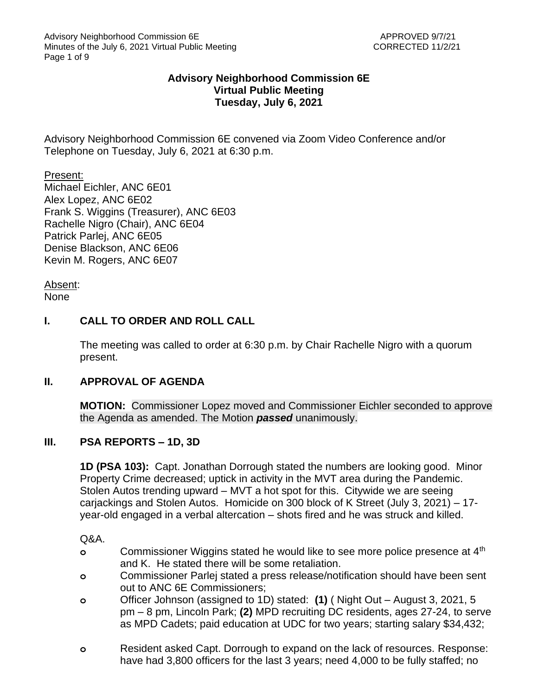## **Advisory Neighborhood Commission 6E Virtual Public Meeting Tuesday, July 6, 2021**

Advisory Neighborhood Commission 6E convened via Zoom Video Conference and/or Telephone on Tuesday, July 6, 2021 at 6:30 p.m.

Present: Michael Eichler, ANC 6E01 Alex Lopez, ANC 6E02 Frank S. Wiggins (Treasurer), ANC 6E03 Rachelle Nigro (Chair), ANC 6E04 Patrick Parlej, ANC 6E05 Denise Blackson, ANC 6E06 Kevin M. Rogers, ANC 6E07

Absent: None

# **I. CALL TO ORDER AND ROLL CALL**

The meeting was called to order at 6:30 p.m. by Chair Rachelle Nigro with a quorum present.

### **II. APPROVAL OF AGENDA**

**MOTION:** Commissioner Lopez moved and Commissioner Eichler seconded to approve the Agenda as amended. The Motion *passed* unanimously.

### **III. PSA REPORTS – 1D, 3D**

**1D (PSA 103):** Capt. Jonathan Dorrough stated the numbers are looking good. Minor Property Crime decreased; uptick in activity in the MVT area during the Pandemic. Stolen Autos trending upward – MVT a hot spot for this. Citywide we are seeing carjackings and Stolen Autos. Homicide on 300 block of K Street (July 3, 2021) – 17 year-old engaged in a verbal altercation – shots fired and he was struck and killed.

Q&A.

- **o** Commissioner Wiggins stated he would like to see more police presence at 4th and K. He stated there will be some retaliation.
- **o** Commissioner Parlej stated a press release/notification should have been sent out to ANC 6E Commissioners;
- **o** Officer Johnson (assigned to 1D) stated: **(1)** ( Night Out August 3, 2021, 5 pm – 8 pm, Lincoln Park; **(2)** MPD recruiting DC residents, ages 27-24, to serve as MPD Cadets; paid education at UDC for two years; starting salary \$34,432;
- **o** Resident asked Capt. Dorrough to expand on the lack of resources. Response: have had 3,800 officers for the last 3 years; need 4,000 to be fully staffed; no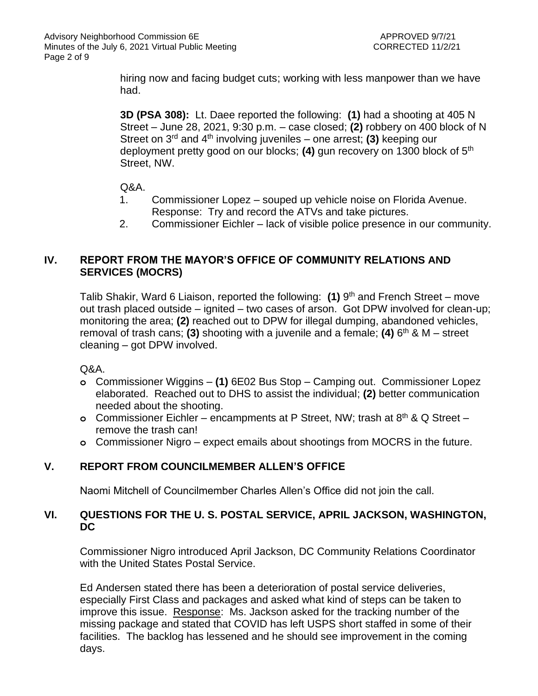hiring now and facing budget cuts; working with less manpower than we have had.

**3D (PSA 308):** Lt. Daee reported the following: **(1)** had a shooting at 405 N Street – June 28, 2021, 9:30 p.m. – case closed; **(2)** robbery on 400 block of N Street on 3rd and 4th involving juveniles – one arrest; **(3)** keeping our deployment pretty good on our blocks; **(4)** gun recovery on 1300 block of 5th Street, NW.

Q&A.

- 1. Commissioner Lopez souped up vehicle noise on Florida Avenue. Response: Try and record the ATVs and take pictures.
- 2. Commissioner Eichler lack of visible police presence in our community.

# **IV. REPORT FROM THE MAYOR'S OFFICE OF COMMUNITY RELATIONS AND SERVICES (MOCRS)**

Talib Shakir, Ward 6 Liaison, reported the following: (1) 9<sup>th</sup> and French Street – move out trash placed outside – ignited – two cases of arson. Got DPW involved for clean-up; monitoring the area; **(2)** reached out to DPW for illegal dumping, abandoned vehicles, removal of trash cans; **(3)** shooting with a juvenile and a female; **(4)** 6 th & M – street cleaning – got DPW involved.

Q&A.

- **o** Commissioner Wiggins **(1)** 6E02 Bus Stop Camping out. Commissioner Lopez elaborated. Reached out to DHS to assist the individual; **(2)** better communication needed about the shooting.
- **o** Commissioner Eichler encampments at P Street, NW; trash at 8th & Q Street remove the trash can!
- **o** Commissioner Nigro expect emails about shootings from MOCRS in the future.

# **V. REPORT FROM COUNCILMEMBER ALLEN'S OFFICE**

Naomi Mitchell of Councilmember Charles Allen's Office did not join the call.

## **VI. QUESTIONS FOR THE U. S. POSTAL SERVICE, APRIL JACKSON, WASHINGTON, DC**

Commissioner Nigro introduced April Jackson, DC Community Relations Coordinator with the United States Postal Service.

Ed Andersen stated there has been a deterioration of postal service deliveries, especially First Class and packages and asked what kind of steps can be taken to improve this issue. Response: Ms. Jackson asked for the tracking number of the missing package and stated that COVID has left USPS short staffed in some of their facilities. The backlog has lessened and he should see improvement in the coming days.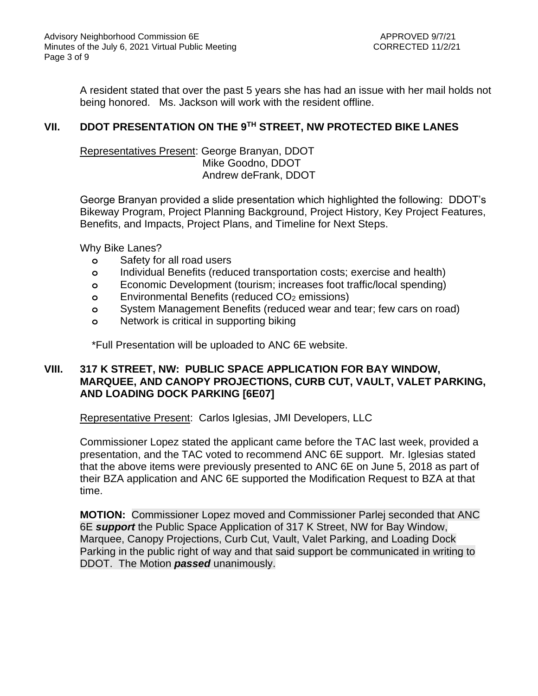A resident stated that over the past 5 years she has had an issue with her mail holds not being honored. Ms. Jackson will work with the resident offline.

## **VII. DDOT PRESENTATION ON THE 9TH STREET, NW PROTECTED BIKE LANES**

Representatives Present: George Branyan, DDOT Mike Goodno, DDOT Andrew deFrank, DDOT

George Branyan provided a slide presentation which highlighted the following: DDOT's Bikeway Program, Project Planning Background, Project History, Key Project Features, Benefits, and Impacts, Project Plans, and Timeline for Next Steps.

Why Bike Lanes?

- **o** Safety for all road users
- **o** Individual Benefits (reduced transportation costs; exercise and health)
- **o** Economic Development (tourism; increases foot traffic/local spending)
- **o** Environmental Benefits (reduced CO<sup>2</sup> emissions)
- **o** System Management Benefits (reduced wear and tear; few cars on road)
- **o** Network is critical in supporting biking

\*Full Presentation will be uploaded to ANC 6E website.

## **VIII. 317 K STREET, NW: PUBLIC SPACE APPLICATION FOR BAY WINDOW, MARQUEE, AND CANOPY PROJECTIONS, CURB CUT, VAULT, VALET PARKING, AND LOADING DOCK PARKING [6E07]**

Representative Present: Carlos Iglesias, JMI Developers, LLC

Commissioner Lopez stated the applicant came before the TAC last week, provided a presentation, and the TAC voted to recommend ANC 6E support. Mr. Iglesias stated that the above items were previously presented to ANC 6E on June 5, 2018 as part of their BZA application and ANC 6E supported the Modification Request to BZA at that time.

**MOTION:** Commissioner Lopez moved and Commissioner Parlej seconded that ANC 6E *support* the Public Space Application of 317 K Street, NW for Bay Window, Marquee, Canopy Projections, Curb Cut, Vault, Valet Parking, and Loading Dock Parking in the public right of way and that said support be communicated in writing to DDOT. The Motion *passed* unanimously.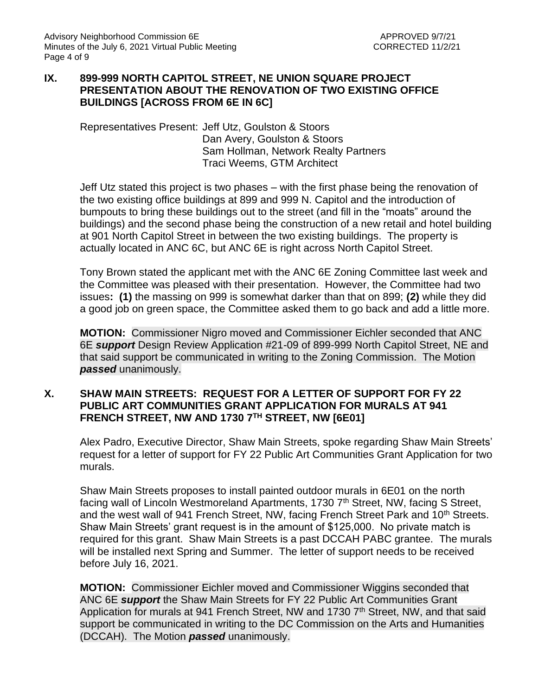### **IX. 899-999 NORTH CAPITOL STREET, NE UNION SQUARE PROJECT PRESENTATION ABOUT THE RENOVATION OF TWO EXISTING OFFICE BUILDINGS [ACROSS FROM 6E IN 6C]**

Representatives Present: Jeff Utz, Goulston & Stoors Dan Avery, Goulston & Stoors Sam Hollman, Network Realty Partners Traci Weems, GTM Architect

Jeff Utz stated this project is two phases – with the first phase being the renovation of the two existing office buildings at 899 and 999 N. Capitol and the introduction of bumpouts to bring these buildings out to the street (and fill in the "moats" around the buildings) and the second phase being the construction of a new retail and hotel building at 901 North Capitol Street in between the two existing buildings. The property is actually located in ANC 6C, but ANC 6E is right across North Capitol Street.

Tony Brown stated the applicant met with the ANC 6E Zoning Committee last week and the Committee was pleased with their presentation. However, the Committee had two issues**: (1)** the massing on 999 is somewhat darker than that on 899; **(2)** while they did a good job on green space, the Committee asked them to go back and add a little more.

**MOTION:** Commissioner Nigro moved and Commissioner Eichler seconded that ANC 6E *support* Design Review Application #21-09 of 899-999 North Capitol Street, NE and that said support be communicated in writing to the Zoning Commission. The Motion *passed* unanimously.

### **X. SHAW MAIN STREETS: REQUEST FOR A LETTER OF SUPPORT FOR FY 22 PUBLIC ART COMMUNITIES GRANT APPLICATION FOR MURALS AT 941 FRENCH STREET, NW AND 1730 7TH STREET, NW [6E01]**

Alex Padro, Executive Director, Shaw Main Streets, spoke regarding Shaw Main Streets' request for a letter of support for FY 22 Public Art Communities Grant Application for two murals.

Shaw Main Streets proposes to install painted outdoor murals in 6E01 on the north facing wall of Lincoln Westmoreland Apartments, 1730 7<sup>th</sup> Street, NW, facing S Street. and the west wall of 941 French Street, NW, facing French Street Park and 10<sup>th</sup> Streets. Shaw Main Streets' grant request is in the amount of \$125,000. No private match is required for this grant. Shaw Main Streets is a past DCCAH PABC grantee. The murals will be installed next Spring and Summer. The letter of support needs to be received before July 16, 2021.

**MOTION:** Commissioner Eichler moved and Commissioner Wiggins seconded that ANC 6E *support* the Shaw Main Streets for FY 22 Public Art Communities Grant Application for murals at 941 French Street, NW and 1730 7<sup>th</sup> Street, NW, and that said support be communicated in writing to the DC Commission on the Arts and Humanities (DCCAH). The Motion *passed* unanimously.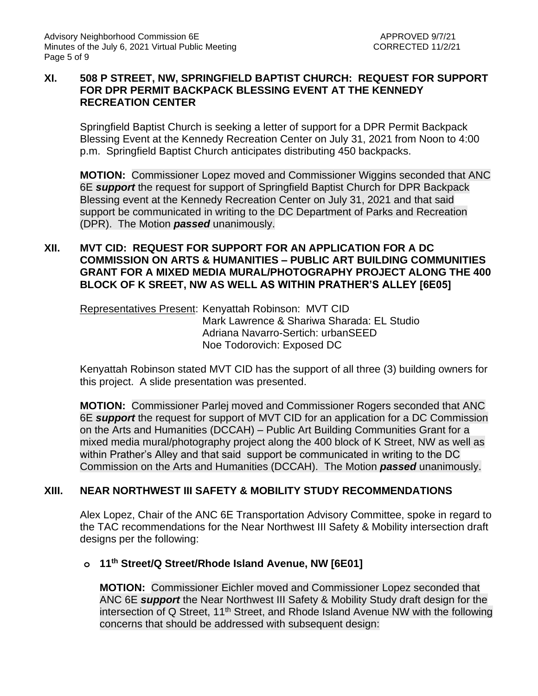## **XI. 508 P STREET, NW, SPRINGFIELD BAPTIST CHURCH: REQUEST FOR SUPPORT FOR DPR PERMIT BACKPACK BLESSING EVENT AT THE KENNEDY RECREATION CENTER**

Springfield Baptist Church is seeking a letter of support for a DPR Permit Backpack Blessing Event at the Kennedy Recreation Center on July 31, 2021 from Noon to 4:00 p.m. Springfield Baptist Church anticipates distributing 450 backpacks.

**MOTION:** Commissioner Lopez moved and Commissioner Wiggins seconded that ANC 6E *support* the request for support of Springfield Baptist Church for DPR Backpack Blessing event at the Kennedy Recreation Center on July 31, 2021 and that said support be communicated in writing to the DC Department of Parks and Recreation (DPR). The Motion *passed* unanimously.

## **XII. MVT CID: REQUEST FOR SUPPORT FOR AN APPLICATION FOR A DC COMMISSION ON ARTS & HUMANITIES – PUBLIC ART BUILDING COMMUNITIES GRANT FOR A MIXED MEDIA MURAL/PHOTOGRAPHY PROJECT ALONG THE 400 BLOCK OF K SREET, NW AS WELL AS WITHIN PRATHER'S ALLEY [6E05]**

Representatives Present: Kenyattah Robinson: MVT CID Mark Lawrence & Shariwa Sharada: EL Studio Adriana Navarro-Sertich: urbanSEED Noe Todorovich: Exposed DC

Kenyattah Robinson stated MVT CID has the support of all three (3) building owners for this project. A slide presentation was presented.

**MOTION:** Commissioner Parlej moved and Commissioner Rogers seconded that ANC 6E *support* the request for support of MVT CID for an application for a DC Commission on the Arts and Humanities (DCCAH) – Public Art Building Communities Grant for a mixed media mural/photography project along the 400 block of K Street, NW as well as within Prather's Alley and that said support be communicated in writing to the DC Commission on the Arts and Humanities (DCCAH). The Motion *passed* unanimously.

# **XIII. NEAR NORTHWEST III SAFETY & MOBILITY STUDY RECOMMENDATIONS**

Alex Lopez, Chair of the ANC 6E Transportation Advisory Committee, spoke in regard to the TAC recommendations for the Near Northwest III Safety & Mobility intersection draft designs per the following:

### **o 11th Street/Q Street/Rhode Island Avenue, NW [6E01]**

**MOTION:** Commissioner Eichler moved and Commissioner Lopez seconded that ANC 6E *support* the Near Northwest III Safety & Mobility Study draft design for the intersection of Q Street, 11th Street, and Rhode Island Avenue NW with the following concerns that should be addressed with subsequent design: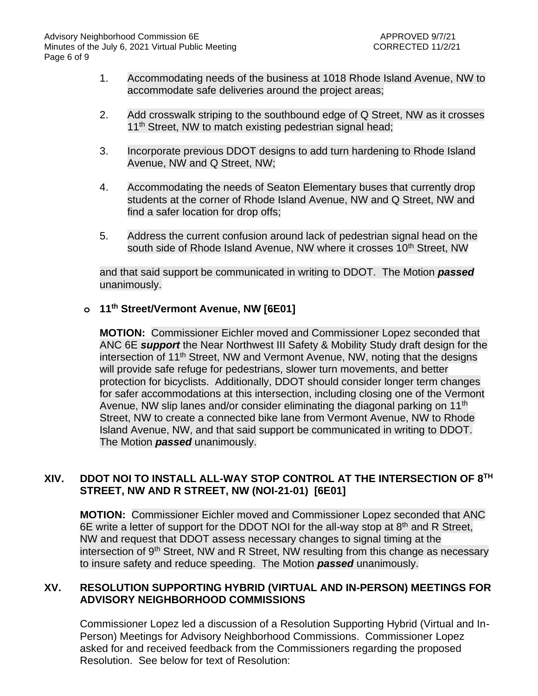- 1. Accommodating needs of the business at 1018 Rhode Island Avenue, NW to accommodate safe deliveries around the project areas;
- 2. Add crosswalk striping to the southbound edge of Q Street, NW as it crosses 11<sup>th</sup> Street, NW to match existing pedestrian signal head;
- 3. Incorporate previous DDOT designs to add turn hardening to Rhode Island Avenue, NW and Q Street, NW;
- 4. Accommodating the needs of Seaton Elementary buses that currently drop students at the corner of Rhode Island Avenue, NW and Q Street, NW and find a safer location for drop offs;
- 5. Address the current confusion around lack of pedestrian signal head on the south side of Rhode Island Avenue, NW where it crosses 10<sup>th</sup> Street, NW

and that said support be communicated in writing to DDOT. The Motion *passed* unanimously.

### **o 11th Street/Vermont Avenue, NW [6E01]**

**MOTION:** Commissioner Eichler moved and Commissioner Lopez seconded that ANC 6E *support* the Near Northwest III Safety & Mobility Study draft design for the intersection of 11<sup>th</sup> Street, NW and Vermont Avenue, NW, noting that the designs will provide safe refuge for pedestrians, slower turn movements, and better protection for bicyclists. Additionally, DDOT should consider longer term changes for safer accommodations at this intersection, including closing one of the Vermont Avenue, NW slip lanes and/or consider eliminating the diagonal parking on 11<sup>th</sup> Street, NW to create a connected bike lane from Vermont Avenue, NW to Rhode Island Avenue, NW, and that said support be communicated in writing to DDOT. The Motion *passed* unanimously.

### **XIV. DDOT NOI TO INSTALL ALL-WAY STOP CONTROL AT THE INTERSECTION OF 8TH STREET, NW AND R STREET, NW (NOI-21-01) [6E01]**

**MOTION:** Commissioner Eichler moved and Commissioner Lopez seconded that ANC 6E write a letter of support for the DDOT NOI for the all-way stop at 8<sup>th</sup> and R Street, NW and request that DDOT assess necessary changes to signal timing at the intersection of 9<sup>th</sup> Street, NW and R Street, NW resulting from this change as necessary to insure safety and reduce speeding. The Motion *passed* unanimously.

### **XV. RESOLUTION SUPPORTING HYBRID (VIRTUAL AND IN-PERSON) MEETINGS FOR ADVISORY NEIGHBORHOOD COMMISSIONS**

Commissioner Lopez led a discussion of a Resolution Supporting Hybrid (Virtual and In-Person) Meetings for Advisory Neighborhood Commissions. Commissioner Lopez asked for and received feedback from the Commissioners regarding the proposed Resolution. See below for text of Resolution: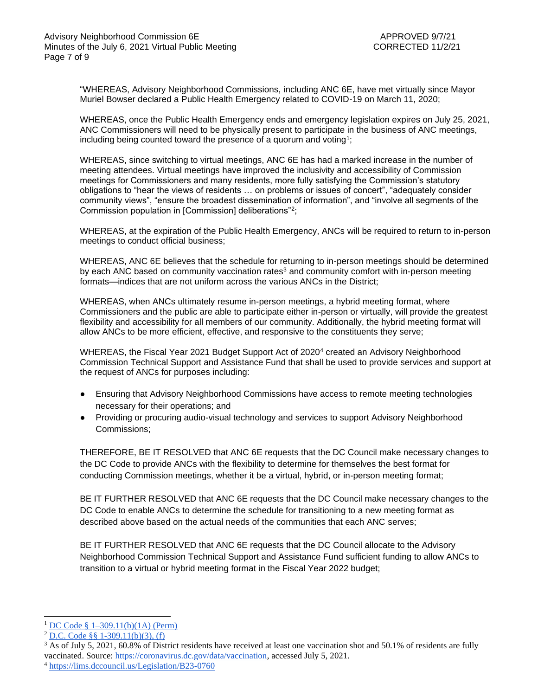"WHEREAS, Advisory Neighborhood Commissions, including ANC 6E, have met virtually since Mayor Muriel Bowser declared a Public Health Emergency related to COVID-19 on March 11, 2020;

WHEREAS, once the Public Health Emergency ends and emergency legislation expires on July 25, 2021, ANC Commissioners will need to be physically present to participate in the business of ANC meetings, including being counted toward the presence of a quorum and voting<sup>1</sup>;

WHEREAS, since switching to virtual meetings, ANC 6E has had a marked increase in the number of meeting attendees. Virtual meetings have improved the inclusivity and accessibility of Commission meetings for Commissioners and many residents, more fully satisfying the Commission's statutory obligations to "hear the views of residents … on problems or issues of concert", "adequately consider community views", "ensure the broadest dissemination of information", and "involve all segments of the Commission population in [Commission] deliberations"<sup>2</sup> ;

WHEREAS, at the expiration of the Public Health Emergency, ANCs will be required to return to in-person meetings to conduct official business;

WHEREAS, ANC 6E believes that the schedule for returning to in-person meetings should be determined by each ANC based on community vaccination rates<sup>3</sup> and community comfort with in-person meeting formats—indices that are not uniform across the various ANCs in the District;

WHEREAS, when ANCs ultimately resume in-person meetings, a hybrid meeting format, where Commissioners and the public are able to participate either in-person or virtually, will provide the greatest flexibility and accessibility for all members of our community. Additionally, the hybrid meeting format will allow ANCs to be more efficient, effective, and responsive to the constituents they serve;

WHEREAS, the Fiscal Year 2021 Budget Support Act of 2020<sup>4</sup> created an Advisory Neighborhood Commission Technical Support and Assistance Fund that shall be used to provide services and support at the request of ANCs for purposes including:

- Ensuring that Advisory Neighborhood Commissions have access to remote meeting technologies necessary for their operations; and
- Providing or procuring audio-visual technology and services to support Advisory Neighborhood Commissions;

THEREFORE, BE IT RESOLVED that ANC 6E requests that the DC Council make necessary changes to the DC Code to provide ANCs with the flexibility to determine for themselves the best format for conducting Commission meetings, whether it be a virtual, hybrid, or in-person meeting format;

BE IT FURTHER RESOLVED that ANC 6E requests that the DC Council make necessary changes to the DC Code to enable ANCs to determine the schedule for transitioning to a new meeting format as described above based on the actual needs of the communities that each ANC serves;

BE IT FURTHER RESOLVED that ANC 6E requests that the DC Council allocate to the Advisory Neighborhood Commission Technical Support and Assistance Fund sufficient funding to allow ANCs to transition to a virtual or hybrid meeting format in the Fiscal Year 2022 budget;

<sup>&</sup>lt;sup>1</sup> [DC Code § 1–309.11\(b\)\(1A\) \(Perm\)](https://code.dccouncil.us/dc/council/code/sections/1-309.11(Perm).html)

<sup>2</sup> [D.C. Code §§ 1-309.11\(b\)\(3\), \(f\)](https://code.dccouncil.us/dc/council/code/sections/1-309.11.html)

<sup>&</sup>lt;sup>3</sup> As of July 5, 2021, 60.8% of District residents have received at least one vaccination shot and 50.1% of residents are fully vaccinated. Source: [https://coronavirus.dc.gov/data/vaccination,](https://coronavirus.dc.gov/data/vaccination) accessed July 5, 2021.

<sup>4</sup> <https://lims.dccouncil.us/Legislation/B23-0760>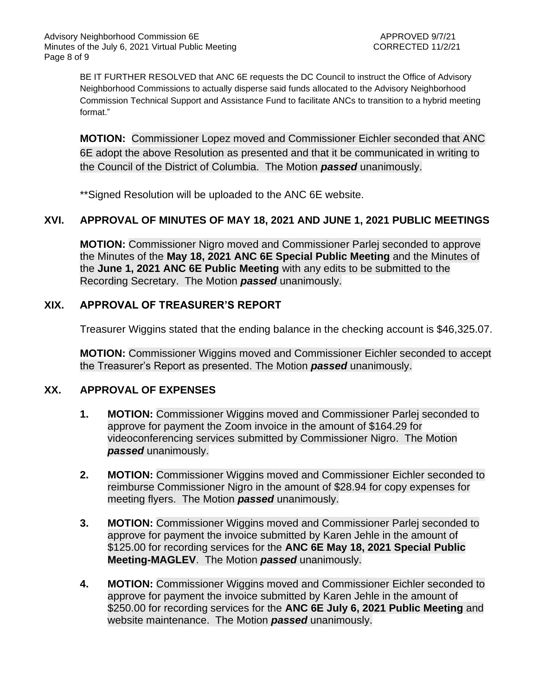BE IT FURTHER RESOLVED that ANC 6E requests the DC Council to instruct the Office of Advisory Neighborhood Commissions to actually disperse said funds allocated to the Advisory Neighborhood Commission Technical Support and Assistance Fund to facilitate ANCs to transition to a hybrid meeting format."

**MOTION:** Commissioner Lopez moved and Commissioner Eichler seconded that ANC 6E adopt the above Resolution as presented and that it be communicated in writing to the Council of the District of Columbia. The Motion *passed* unanimously.

\*\*Signed Resolution will be uploaded to the ANC 6E website.

## **XVI. APPROVAL OF MINUTES OF MAY 18, 2021 AND JUNE 1, 2021 PUBLIC MEETINGS**

**MOTION:** Commissioner Nigro moved and Commissioner Parlej seconded to approve the Minutes of the **May 18, 2021 ANC 6E Special Public Meeting** and the Minutes of the **June 1, 2021 ANC 6E Public Meeting** with any edits to be submitted to the Recording Secretary. The Motion *passed* unanimously.

### **XIX. APPROVAL OF TREASURER'S REPORT**

Treasurer Wiggins stated that the ending balance in the checking account is \$46,325.07.

**MOTION:** Commissioner Wiggins moved and Commissioner Eichler seconded to accept the Treasurer's Report as presented. The Motion *passed* unanimously.

### **XX. APPROVAL OF EXPENSES**

- **1. MOTION:** Commissioner Wiggins moved and Commissioner Parlej seconded to approve for payment the Zoom invoice in the amount of \$164.29 for videoconferencing services submitted by Commissioner Nigro. The Motion *passed* unanimously.
- **2. MOTION:** Commissioner Wiggins moved and Commissioner Eichler seconded to reimburse Commissioner Nigro in the amount of \$28.94 for copy expenses for meeting flyers. The Motion *passed* unanimously.
- **3. MOTION:** Commissioner Wiggins moved and Commissioner Parlej seconded to approve for payment the invoice submitted by Karen Jehle in the amount of \$125.00 for recording services for the **ANC 6E May 18, 2021 Special Public Meeting-MAGLEV**. The Motion *passed* unanimously.
- **4. MOTION:** Commissioner Wiggins moved and Commissioner Eichler seconded to approve for payment the invoice submitted by Karen Jehle in the amount of \$250.00 for recording services for the **ANC 6E July 6, 2021 Public Meeting** and website maintenance. The Motion *passed* unanimously.